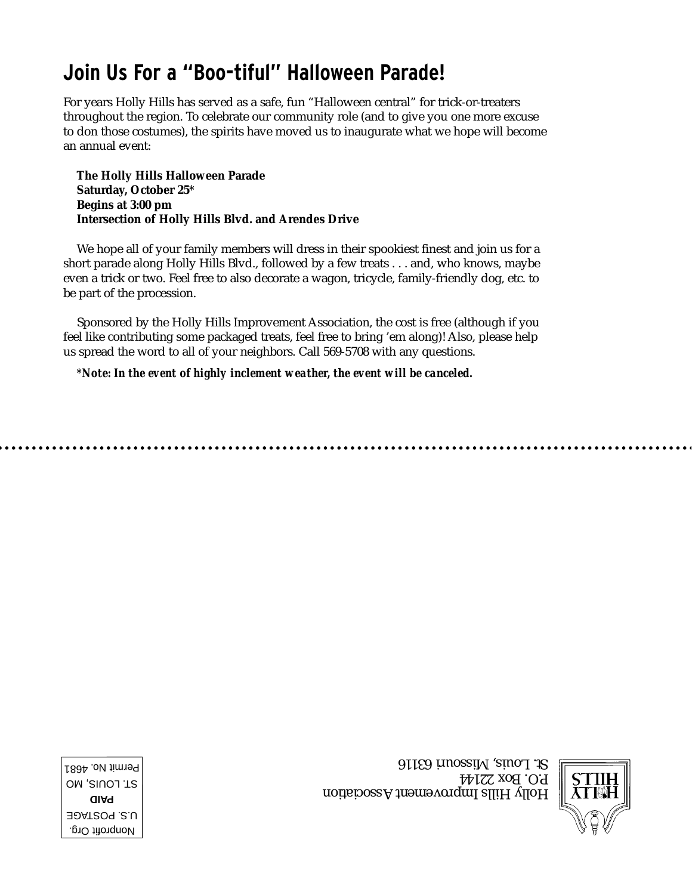## **Join Us For a "Boo-tiful" Halloween Parade!**

For years Holly Hills has served as a safe, fun "Halloween central" for trick-or-treaters throughout the region. To celebrate our community role (and to give you one more excuse to don those costumes), the spirits have moved us to inaugurate what we hope will become an annual event:

**The Holly Hills Halloween Parade Saturday, October 25\* Begins at 3:00 pm Intersection of Holly Hills Blvd. and Arendes Drive**

We hope all of your family members will dress in their spookiest finest and join us for a short parade along Holly Hills Blvd., followed by a few treats . . . and, who knows, maybe even a trick or two. Feel free to also decorate a wagon, tricycle, family-friendly dog, etc. to be part of the procession.

Sponsored by the Holly Hills Improvement Association, the cost is free (although if you feel like contributing some packaged treats, feel free to bring 'em along)! Also, please help us spread the word to all of your neighbors. Call 569-5708 with any questions.

*\*Note: In the event of highly inclement weather, the event will be canceled.* 



Holly Hills Improvement Association P.O. Box 22144 St. Louis, Missouri 63116

Nonprofit Org. U.S. POSTAGE **PAID** ST. LOUIS, MO Permit No. 4681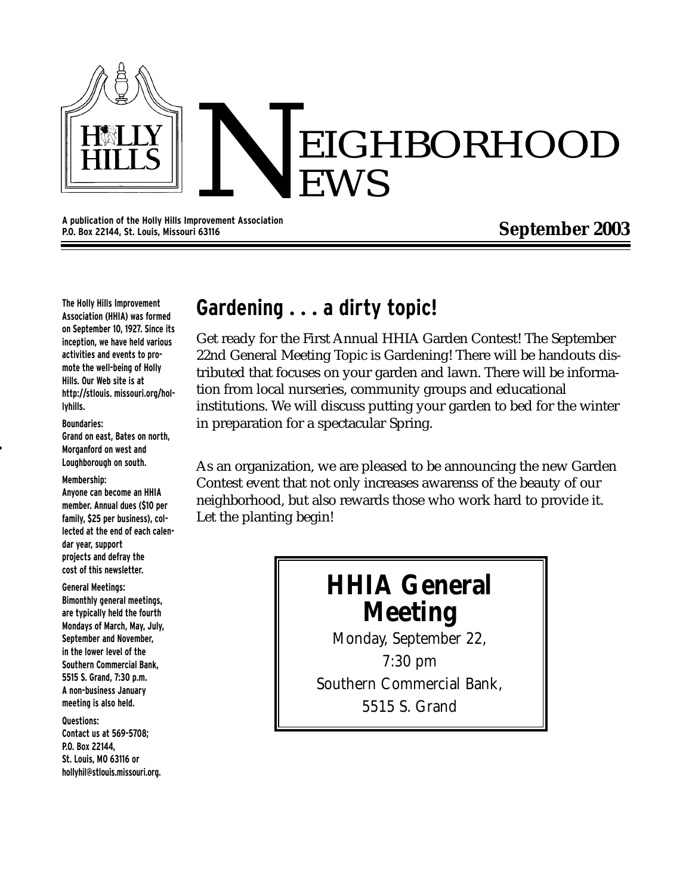

**A publication of the Holly Hills Improvement Association P.O. Box 22144, St. Louis, Missouri 63116**

### **September 2003**

**The Holly Hills Improvement Association (HHIA) was formed on September 10, 1927. Since its inception, we have held various activities and events to promote the well-being of Holly Hills. Our Web site is at http://stlouis. missouri.org/hollyhills.**

### **Boundaries:**

**Grand on east, Bates on north, Morganford on west and Loughborough on south.**

#### **Membership:**

**Anyone can become an HHIA member. Annual dues (\$10 per family, \$25 per business), collected at the end of each calendar year, support projects and defray the cost of this newsletter.**

#### **General Meetings:**

**Bimonthly general meetings, are typically held the fourth Mondays of March, May, July, September and November, in the lower level of the Southern Commercial Bank, 5515 S. Grand, 7:30 p.m. A non-business January meeting is also held.** 

#### **Questions:**

**Contact us at 569-5708; P.O. Box 22144, St. Louis, MO 63116 or hollyhil@stlouis.missouri.org.**

### **Gardening . . . a dirty topic!**

Get ready for the First Annual HHIA Garden Contest! The September 22nd General Meeting Topic is Gardening! There will be handouts distributed that focuses on your garden and lawn. There will be information from local nurseries, community groups and educational institutions. We will discuss putting your garden to bed for the winter in preparation for a spectacular Spring.

As an organization, we are pleased to be announcing the new Garden Contest event that not only increases awarenss of the beauty of our neighborhood, but also rewards those who work hard to provide it. Let the planting begin!

# **HHIA General Meeting**

Monday, September 22,

7:30 pm Southern Commercial Bank, 5515 S. Grand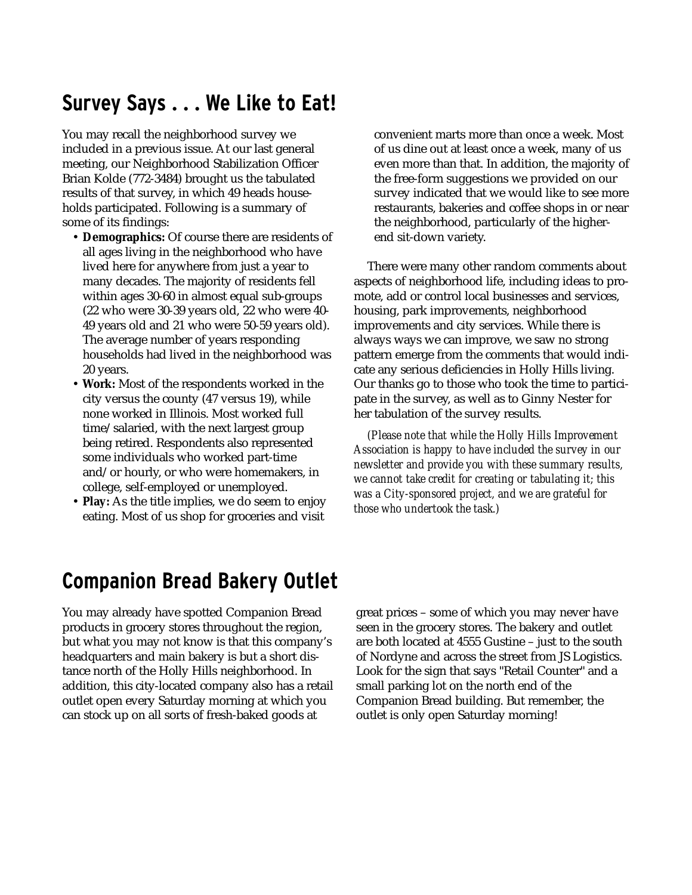## **Survey Says . . . We Like to Eat!**

You may recall the neighborhood survey we included in a previous issue. At our last general meeting, our Neighborhood Stabilization Officer Brian Kolde (772-3484) brought us the tabulated results of that survey, in which 49 heads households participated. Following is a summary of some of its findings:

- **Demographics:** Of course there are residents of all ages living in the neighborhood who have lived here for anywhere from just a year to many decades. The majority of residents fell within ages 30-60 in almost equal sub-groups (22 who were 30-39 years old, 22 who were 40- 49 years old and 21 who were 50-59 years old). The average number of years responding households had lived in the neighborhood was 20 years.
- **Work:** Most of the respondents worked in the city versus the county (47 versus 19), while none worked in Illinois. Most worked full time/salaried, with the next largest group being retired. Respondents also represented some individuals who worked part-time and/or hourly, or who were homemakers, in college, self-employed or unemployed.
- **Play:** As the title implies, we do seem to enjoy eating. Most of us shop for groceries and visit

convenient marts more than once a week. Most of us dine out at least once a week, many of us even more than that. In addition, the majority of the free-form suggestions we provided on our survey indicated that we would like to see more restaurants, bakeries and coffee shops in or near the neighborhood, particularly of the higherend sit-down variety.

There were many other random comments about aspects of neighborhood life, including ideas to promote, add or control local businesses and services, housing, park improvements, neighborhood improvements and city services. While there is always ways we can improve, we saw no strong pattern emerge from the comments that would indicate any serious deficiencies in Holly Hills living. Our thanks go to those who took the time to participate in the survey, as well as to Ginny Nester for her tabulation of the survey results.

*(Please note that while the Holly Hills Improvement Association is happy to have included the survey in our newsletter and provide you with these summary results, we cannot take credit for creating or tabulating it; this was a City-sponsored project, and we are grateful for those who undertook the task.)*

## **Companion Bread Bakery Outlet**

You may already have spotted Companion Bread products in grocery stores throughout the region, but what you may not know is that this company's headquarters and main bakery is but a short distance north of the Holly Hills neighborhood. In addition, this city-located company also has a retail outlet open every Saturday morning at which you can stock up on all sorts of fresh-baked goods at

great prices – some of which you may never have seen in the grocery stores. The bakery and outlet are both located at 4555 Gustine – just to the south of Nordyne and across the street from JS Logistics. Look for the sign that says "Retail Counter" and a small parking lot on the north end of the Companion Bread building. But remember, the outlet is only open Saturday morning!